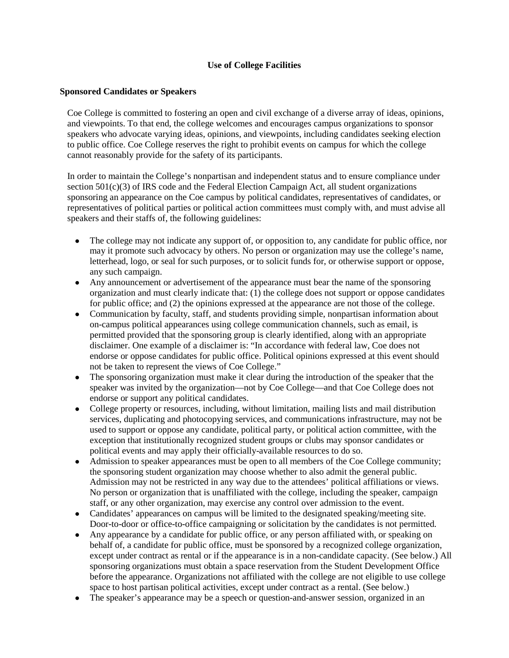## **Use of College Facilities**

## **Sponsored Candidates or Speakers**

Coe College is committed to fostering an open and civil exchange of a diverse array of ideas, opinions, and viewpoints. To that end, the college welcomes and encourages campus organizations to sponsor speakers who advocate varying ideas, opinions, and viewpoints, including candidates seeking election to public office. Coe College reserves the right to prohibit events on campus for which the college cannot reasonably provide for the safety of its participants.

In order to maintain the College's nonpartisan and independent status and to ensure compliance under section  $501(c)(3)$  of IRS code and the Federal Election Campaign Act, all student organizations sponsoring an appearance on the Coe campus by political candidates, representatives of candidates, or representatives of political parties or political action committees must comply with, and must advise all speakers and their staffs of, the following guidelines:

- The college may not indicate any support of, or opposition to, any candidate for public office, nor may it promote such advocacy by others. No person or organization may use the college's name, letterhead, logo, or seal for such purposes, or to solicit funds for, or otherwise support or oppose, any such campaign.
- Any announcement or advertisement of the appearance must bear the name of the sponsoring organization and must clearly indicate that: (1) the college does not support or oppose candidates for public office; and (2) the opinions expressed at the appearance are not those of the college.
- Communication by faculty, staff, and students providing simple, nonpartisan information about on-campus political appearances using college communication channels, such as email, is permitted provided that the sponsoring group is clearly identified, along with an appropriate disclaimer. One example of a disclaimer is: "In accordance with federal law, Coe does not endorse or oppose candidates for public office. Political opinions expressed at this event should not be taken to represent the views of Coe College."
- The sponsoring organization must make it clear during the introduction of the speaker that the speaker was invited by the organization—not by Coe College—and that Coe College does not endorse or support any political candidates.
- College property or resources, including, without limitation, mailing lists and mail distribution services, duplicating and photocopying services, and communications infrastructure, may not be used to support or oppose any candidate, political party, or political action committee, with the exception that institutionally recognized student groups or clubs may sponsor candidates or political events and may apply their officially-available resources to do so.
- Admission to speaker appearances must be open to all members of the Coe College community; the sponsoring student organization may choose whether to also admit the general public. Admission may not be restricted in any way due to the attendees' political affiliations or views. No person or organization that is unaffiliated with the college, including the speaker, campaign staff, or any other organization, may exercise any control over admission to the event.
- Candidates' appearances on campus will be limited to the designated speaking/meeting site. Door-to-door or office-to-office campaigning or solicitation by the candidates is not permitted.
- Any appearance by a candidate for public office, or any person affiliated with, or speaking on behalf of, a candidate for public office, must be sponsored by a recognized college organization, except under contract as rental or if the appearance is in a non-candidate capacity. (See below.) All sponsoring organizations must obtain a space reservation from the Student Development Office before the appearance. Organizations not affiliated with the college are not eligible to use college space to host partisan political activities, except under contract as a rental. (See below.)
- The speaker's appearance may be a speech or question-and-answer session, organized in an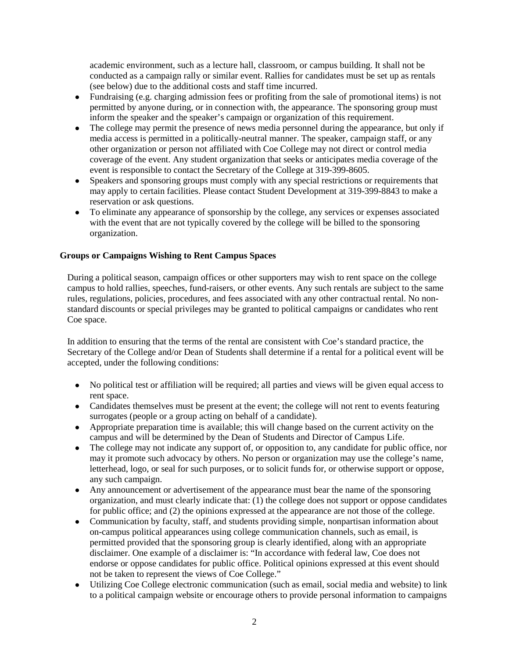academic environment, such as a lecture hall, classroom, or campus building. It shall not be conducted as a campaign rally or similar event. Rallies for candidates must be set up as rentals (see below) due to the additional costs and staff time incurred.

- Fundraising (e.g. charging admission fees or profiting from the sale of promotional items) is not permitted by anyone during, or in connection with, the appearance. The sponsoring group must inform the speaker and the speaker's campaign or organization of this requirement.
- The college may permit the presence of news media personnel during the appearance, but only if media access is permitted in a politically-neutral manner. The speaker, campaign staff, or any other organization or person not affiliated with Coe College may not direct or control media coverage of the event. Any student organization that seeks or anticipates media coverage of the event is responsible to contact the Secretary of the College at 319-399-8605.
- Speakers and sponsoring groups must comply with any special restrictions or requirements that may apply to certain facilities. Please contact Student Development at 319-399-8843 to make a reservation or ask questions.
- To eliminate any appearance of sponsorship by the college, any services or expenses associated with the event that are not typically covered by the college will be billed to the sponsoring organization.

## **Groups or Campaigns Wishing to Rent Campus Spaces**

During a political season, campaign offices or other supporters may wish to rent space on the college campus to hold rallies, speeches, fund-raisers, or other events. Any such rentals are subject to the same rules, regulations, policies, procedures, and fees associated with any other contractual rental. No nonstandard discounts or special privileges may be granted to political campaigns or candidates who rent Coe space.

In addition to ensuring that the terms of the rental are consistent with Coe's standard practice, the Secretary of the College and/or Dean of Students shall determine if a rental for a political event will be accepted, under the following conditions:

- No political test or affiliation will be required; all parties and views will be given equal access to rent space.
- Candidates themselves must be present at the event; the college will not rent to events featuring surrogates (people or a group acting on behalf of a candidate).
- Appropriate preparation time is available; this will change based on the current activity on the campus and will be determined by the Dean of Students and Director of Campus Life.
- The college may not indicate any support of, or opposition to, any candidate for public office, nor may it promote such advocacy by others. No person or organization may use the college's name, letterhead, logo, or seal for such purposes, or to solicit funds for, or otherwise support or oppose, any such campaign.
- Any announcement or advertisement of the appearance must bear the name of the sponsoring organization, and must clearly indicate that: (1) the college does not support or oppose candidates for public office; and (2) the opinions expressed at the appearance are not those of the college.
- Communication by faculty, staff, and students providing simple, nonpartisan information about on-campus political appearances using college communication channels, such as email, is permitted provided that the sponsoring group is clearly identified, along with an appropriate disclaimer. One example of a disclaimer is: "In accordance with federal law, Coe does not endorse or oppose candidates for public office. Political opinions expressed at this event should not be taken to represent the views of Coe College."
- Utilizing Coe College electronic communication (such as email, social media and website) to link to a political campaign website or encourage others to provide personal information to campaigns